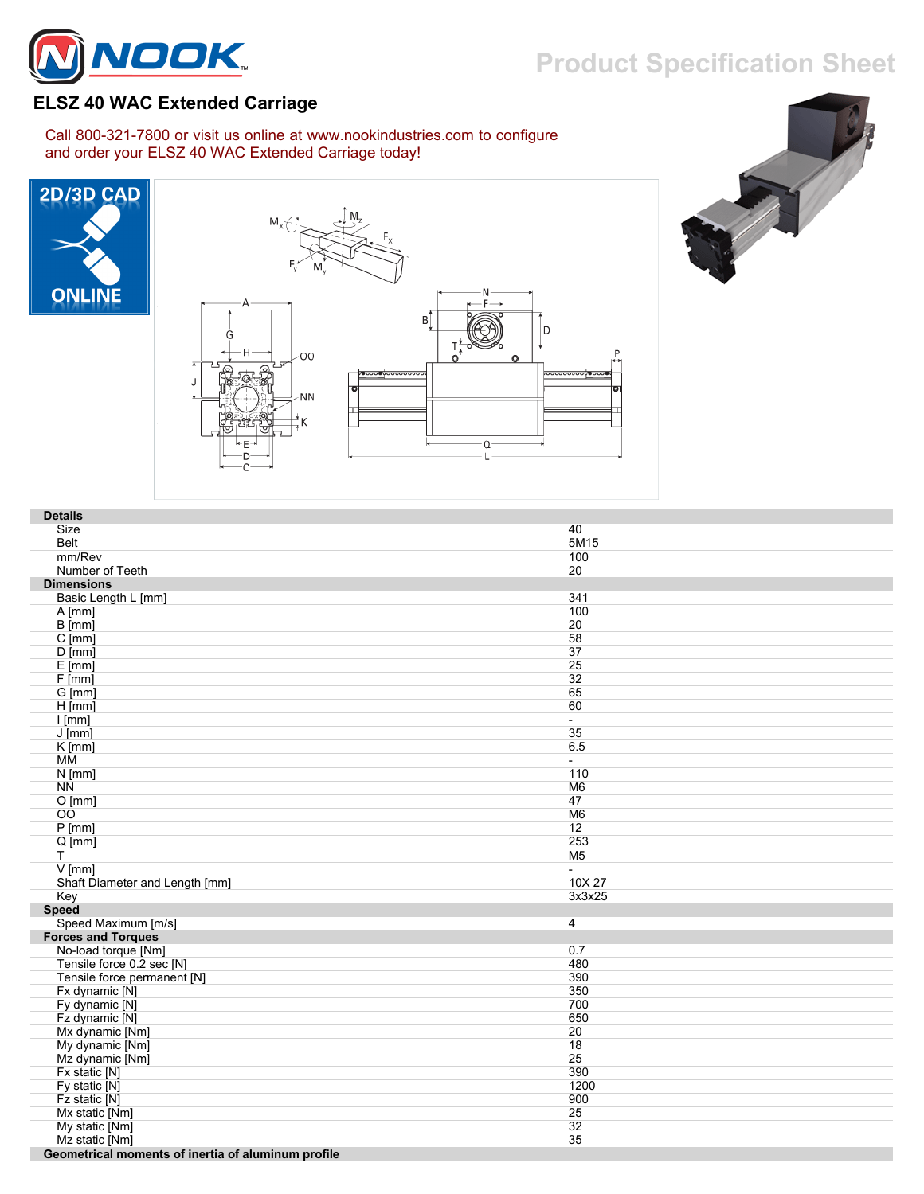

## **Product Specification Sheet**

## **ELSZ 40 WAC Extended Carriage**

Call 800-321-7800 or visit us online at www.nookindustries.com to configure and order your ELSZ 40 WAC Extended Carriage today!







| <b>Details</b>                                     |                |
|----------------------------------------------------|----------------|
| Size                                               | 40             |
| <b>Belt</b>                                        | 5M15           |
| mm/Rev                                             | 100            |
| Number of Teeth                                    | 20             |
| <b>Dimensions</b>                                  |                |
| Basic Length L [mm]                                | 341            |
| $A$ [mm]                                           | 100            |
| $B$ [mm]                                           | 20             |
| $C$ [mm]                                           | 58             |
| $D$ [mm]                                           | 37             |
| $E$ [mm]                                           | 25             |
| F[mm]                                              | 32             |
| G [mm]                                             | 65             |
| $H$ [mm]                                           | 60             |
| $I$ [mm]                                           | $\blacksquare$ |
| $J$ [mm]                                           | 35             |
| $K$ [mm]                                           | 6.5            |
| MM                                                 | $\sim$         |
| $N$ [mm]                                           | 110            |
| <b>NN</b>                                          | M <sub>6</sub> |
| O[mm]                                              | 47             |
| 00                                                 | M <sub>6</sub> |
| $P$ [mm]                                           | 12             |
| $Q$ [mm]                                           | 253            |
| T.                                                 | M <sub>5</sub> |
| $V$ [mm]                                           | $\overline{a}$ |
| Shaft Diameter and Length [mm]                     | 10X 27         |
| Key                                                | 3x3x25         |
| <b>Speed</b>                                       |                |
| Speed Maximum [m/s]                                | $\overline{4}$ |
| <b>Forces and Torques</b>                          |                |
| No-load torque [Nm]                                | 0.7            |
| Tensile force 0.2 sec [N]                          | 480            |
| Tensile force permanent [N]                        | 390            |
| Fx dynamic [N]                                     | 350            |
| Fy dynamic [N]                                     | 700            |
| Fz dynamic [N]                                     | 650            |
| Mx dynamic [Nm]                                    | 20             |
| My dynamic [Nm]                                    | 18             |
| Mz dynamic [Nm]                                    | 25             |
| Fx static [N]                                      | 390            |
| Fy static [N]                                      | 1200           |
| Fz static [N]                                      | 900            |
| Mx static [Nm]                                     | 25             |
|                                                    | 32             |
| My static [Nm]                                     | 35             |
| Mz static [Nm]                                     |                |
| Geometrical moments of inertia of aluminum profile |                |